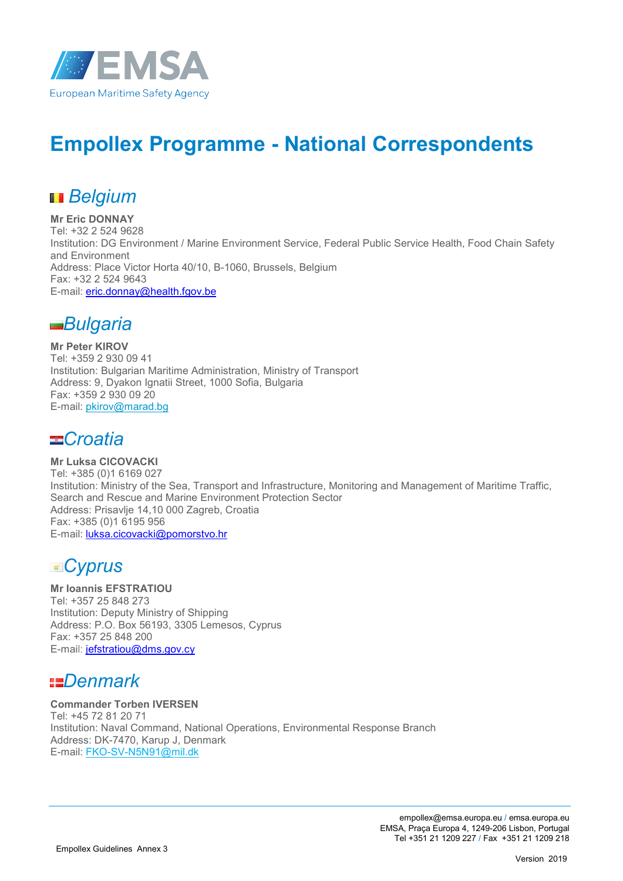

# **Empollex Programme - National Correspondents**

# *Belgium*

**Mr Eric DONNAY** Tel: +32 2 524 9628 Institution: DG Environment / Marine Environment Service, Federal Public Service Health, Food Chain Safety and Environment Address: Place Victor Horta 40/10, B-1060, Brussels, Belgium Fax: +32 2 524 9643 E-mail: eric.donnay@health.fgov.be



**Mr Peter KIROV** Tel: +359 2 930 09 41 Institution: Bulgarian Maritime Administration, Ministry of Transport Address: 9, Dyakon Ignatii Street, 1000 Sofia, Bulgaria Fax: +359 2 930 09 20 E-mail: pkirov@marad.bg

#### *Croatia*

**Mr Luksa CICOVACKI** Tel: +385 (0)1 6169 027 Institution: Ministry of the Sea, Transport and Infrastructure, Monitoring and Management of Maritime Traffic, Search and Rescue and Marine Environment Protection Sector Address: Prisavlje 14,10 000 Zagreb, Croatia Fax: +385 (0)1 6195 956 E-mail: luksa.cicovacki@pomorstvo.hr

*Cyprus*

### **Mr Ioannis EFSTRATIOU**

Tel: +357 25 848 273 Institution: Deputy Ministry of Shipping Address: P.O. Box 56193, 3305 Lemesos, Cyprus Fax: +357 25 848 200 E-mail: jefstratiou@dms.gov.cy

### *Denmark*

#### **Commander Torben IVERSEN**

Tel: +45 72 81 20 71 Institution: Naval Command, National Operations, Environmental Response Branch Address: DK-7470, Karup J, Denmark E-mail: FKO-SV-N5N91@mil.dk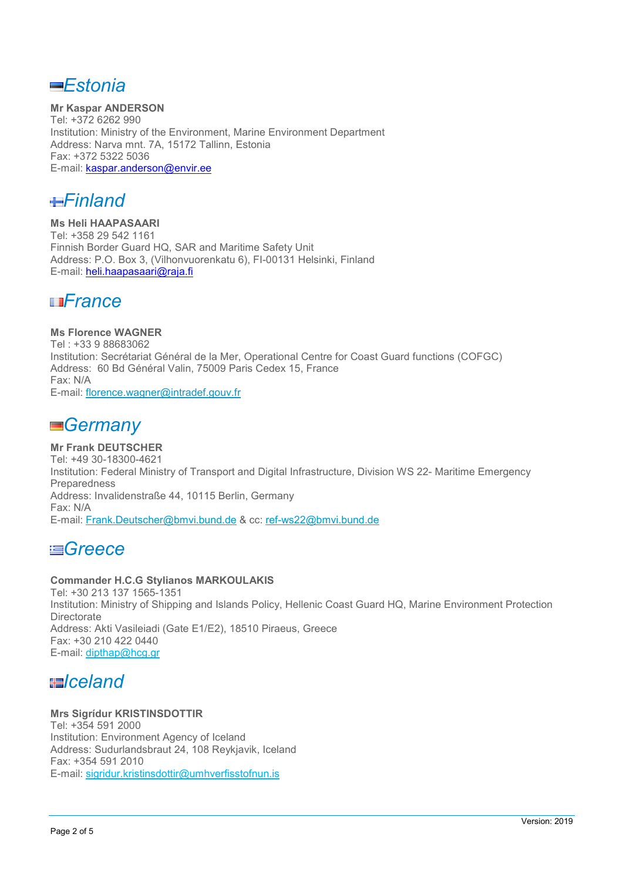*Estonia*

**Mr Kaspar ANDERSON** Tel: +372 6262 990 Institution: Ministry of the Environment, Marine Environment Department Address: Narva mnt. 7A, 15172 Tallinn, Estonia Fax: +372 5322 5036 E-mail: kaspar.anderson@envir.ee

*Finland*

**Ms Heli HAAPASAARI** Tel: +358 29 542 1161 Finnish Border Guard HQ, SAR and Maritime Safety Unit Address: P.O. Box 3, (Vilhonvuorenkatu 6), FI-00131 Helsinki, Finland E-mail: heli.haapasaari@raja.fi

#### *France*

**Ms Florence WAGNER** Tel : +33 9 88683062 Institution: Secrétariat Général de la Mer, Operational Centre for Coast Guard functions (COFGC) Address: 60 Bd Général Valin, 75009 Paris Cedex 15, France Fax: N/A E-mail: florence.wagner@intradef.gouv.fr

#### *Germany*

**Mr Frank DEUTSCHER** Tel: +49 30-18300-4621 Institution: Federal Ministry of Transport and Digital Infrastructure, Division WS 22- Maritime Emergency Preparedness Address: Invalidenstraße 44, 10115 Berlin, Germany Fax: N/A E-mail: Frank.Deutscher@bmvi.bund.de & cc: ref-ws22@bmvi.bund.de

#### *Greece*

#### **Commander H.C.G Stylianos MARKOULAKIS**

Tel: +30 213 137 1565-1351 Institution: Ministry of Shipping and Islands Policy, Hellenic Coast Guard HQ, Marine Environment Protection **Directorate** Address: Akti Vasileiadi (Gate E1/E2), 18510 Piraeus, Greece Fax: +30 210 422 0440 E-mail: dipthap@hcg.gr

### *Iceland*

#### **Mrs Sigrídur KRISTINSDOTTIR**

Tel: +354 591 2000 Institution: Environment Agency of Iceland Address: Sudurlandsbraut 24, 108 Reykjavik, Iceland Fax: +354 591 2010 E-mail: sigridur.kristinsdottir@umhverfisstofnun.is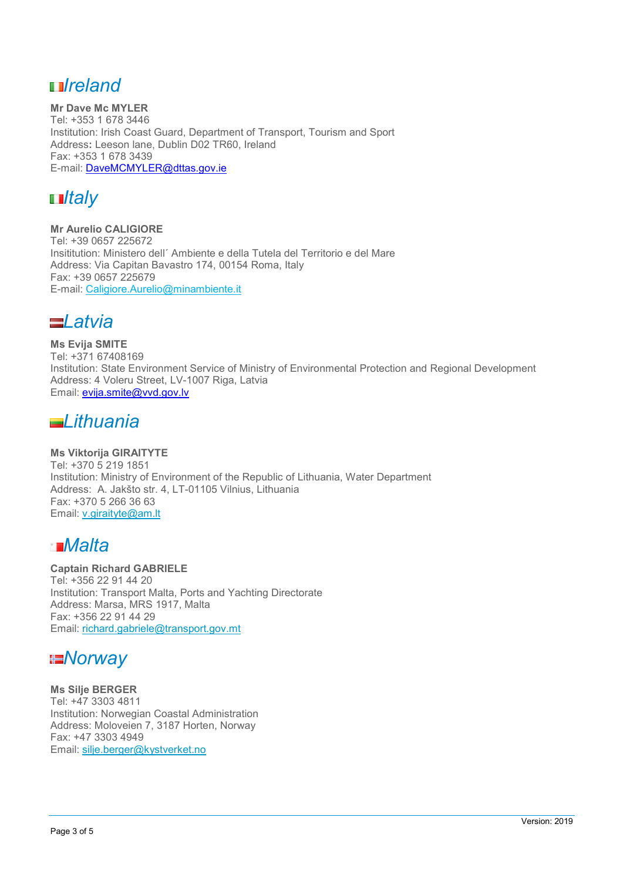### *Ireland*

**Mr Dave Mc MYLER** Tel: +353 1 678 3446 Institution: Irish Coast Guard, Department of Transport, Tourism and Sport Address**:** Leeson lane, Dublin D02 TR60, Ireland Fax: +353 1 678 3439 E-mail: DaveMCMYLER@dttas.gov.ie



**Mr Aurelio CALIGIORE** Tel: +39 0657 225672 Insititution: Ministero dell´ Ambiente e della Tutela del Territorio e del Mare Address: Via Capitan Bavastro 174, 00154 Roma, Italy Fax: +39 0657 225679 E-mail: Caligiore.Aurelio@minambiente.it



**Ms Evija SMITE** Tel: +371 67408169 Institution: State Environment Service of Ministry of Environmental Protection and Regional Development Address: 4 Voleru Street, LV-1007 Riga, Latvia Email: evija.smite@vvd.gov.lv

#### *Lithuania*

#### **Ms Viktorija GIRAITYTE**

Tel: +370 5 219 1851 Institution: Ministry of Environment of the Republic of Lithuania, Water Department Address: A. Jakšto str. 4, LT-01105 Vilnius, Lithuania Fax: +370 5 266 36 63 Email: v.giraityte@am.lt

### *Malta*

**Captain Richard GABRIELE** Tel: +356 22 91 44 20 Institution: Transport Malta, Ports and Yachting Directorate Address: Marsa, MRS 1917, Malta Fax: +356 22 91 44 29 Email: richard.gabriele@transport.gov.mt

### *Norway*

**Ms Silje BERGER** Tel: +47 3303 4811 Institution: Norwegian Coastal Administration Address: Moloveien 7, 3187 Horten, Norway Fax: +47 3303 4949 Email: silje.berger@kystverket.no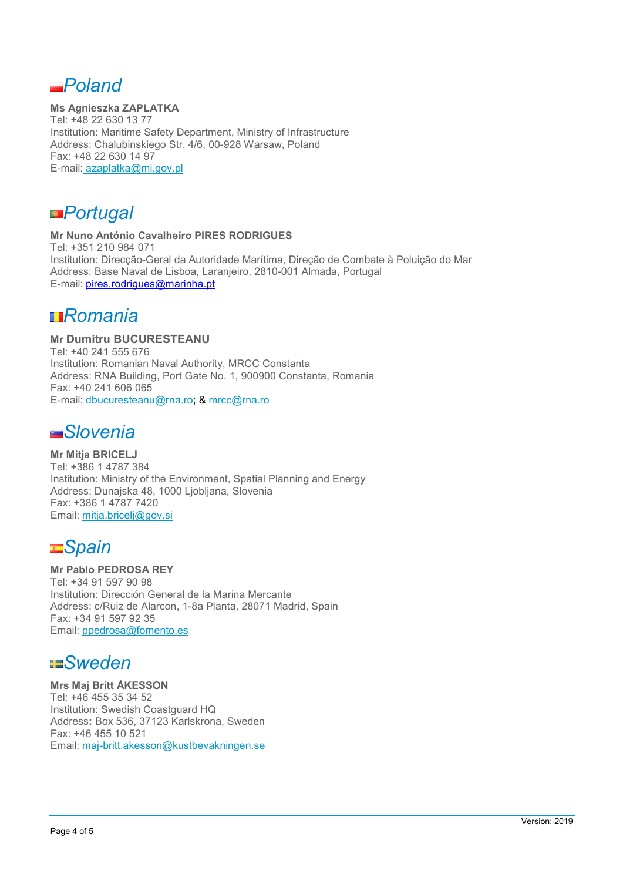*Poland*

**Ms Agnieszka ZAPLATKA** Tel: +48 22 630 13 77 Institution: Maritime Safety Department, Ministry of Infrastructure Address: Chalubinskiego Str. 4/6, 00-928 Warsaw, Poland Fax: +48 22 630 14 97 E-mail: azaplatka@mi.gov.pl

*Portugal*

**Mr Nuno António Cavalheiro PIRES RODRIGUES**  Tel: +351 210 984 071 Institution: Direcção-Geral da Autoridade Marítima, Direção de Combate à Poluição do Mar Address: Base Naval de Lisboa, Laranjeiro, 2810-001 Almada, Portugal E-mail: pires.rodrigues@marinha.pt

### *Romania*

**Mr Dumitru BUCURESTEANU** Tel: +40 241 555 676 Institution: Romanian Naval Authority, MRCC Constanta Address: RNA Building, Port Gate No. 1, 900900 Constanta, Romania Fax: +40 241 606 065 E-mail: dbucuresteanu@rna.ro; & mrcc@rna.ro

### *Slovenia*

**Mr Mitja BRICELJ** Tel: +386 1 4787 384 Institution: Ministry of the Environment, Spatial Planning and Energy Address: Dunajska 48, 1000 Ljobljana, Slovenia Fax: +386 1 4787 7420 Email: mitja.bricelj@gov.si

# *Spain*

#### **Mr Pablo PEDROSA REY**

Tel: +34 91 597 90 98 Institution: Dirección General de la Marina Mercante Address: c/Ruiz de Alarcon, 1-8a Planta, 28071 Madrid, Spain Fax: +34 91 597 92 35 Email: ppedrosa@fomento.es

## *Sweden*

**Mrs Maj Britt ÅKESSON** Tel: +46 455 35 34 52 Institution: Swedish Coastguard HQ Address**:** Box 536, 37123 Karlskrona, Sweden Fax: +46 455 10 521 Email: maj-britt.akesson@kustbevakningen.se